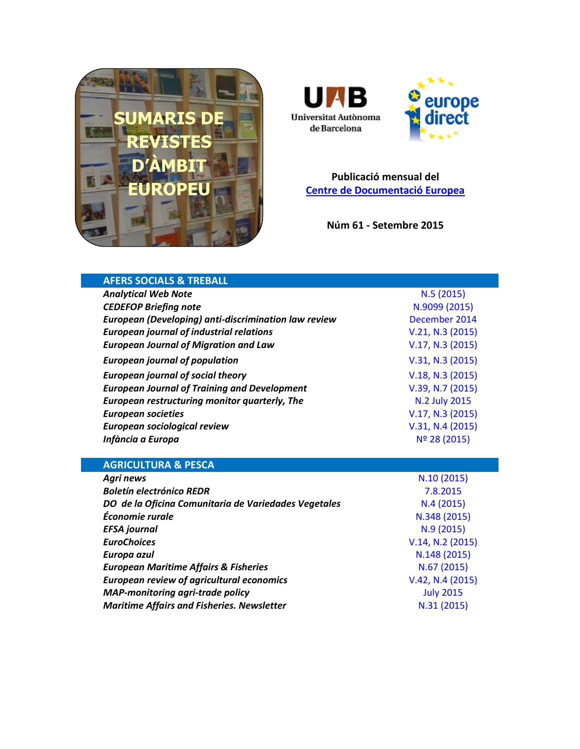





**Publicació mensual del [Centre de Documentació Europea](http://www.uab.cat/biblioteques/cde/)**

**Núm 61 - Setembre 2015**

| <b>AFERS SOCIALS &amp; TREBALL</b>                   |                  |
|------------------------------------------------------|------------------|
| <b>Analytical Web Note</b>                           | N.5(2015)        |
| <b>CEDEFOP Briefing note</b>                         | N.9099 (2015)    |
| European (Developing) anti-discrimination law review | December 2014    |
| <b>European journal of industrial relations</b>      | V.21, N.3 (2015) |
| <b>European Journal of Migration and Law</b>         | V.17, N.3 (2015) |
| <b>European journal of population</b>                | V.31, N.3 (2015) |
| <b>European journal of social theory</b>             | V.18, N.3 (2015) |
| <b>European Journal of Training and Development</b>  | V.39, N.7 (2015) |
| European restructuring monitor quarterly, The        | N.2 July 2015    |
| <b>European societies</b>                            | V.17, N.3 (2015) |
| <b>European sociological review</b>                  | V.31, N.4 (2015) |
| Infància a Europa                                    | Nº 28 (2015)     |
|                                                      |                  |
|                                                      |                  |
| <b>AGRICULTURA &amp; PESCA</b>                       |                  |
| <b>Agri news</b>                                     | N.10 (2015)      |
| <b>Boletín electrónico REDR</b>                      | 7.8.2015         |
| DO de la Oficina Comunitaria de Variedades Vegetales | N.4(2015)        |
| Économie rurale                                      | N.348 (2015)     |
| <b>EFSA</b> journal                                  | N.9(2015)        |
| <b>EuroChoices</b>                                   | V.14, N.2 (2015) |
| Europa azul                                          | N.148 (2015)     |
| <b>European Maritime Affairs &amp; Fisheries</b>     | N.67(2015)       |
| <b>European review of agricultural economics</b>     | V.42, N.4 (2015) |
| <b>MAP-monitoring agri-trade policy</b>              | <b>July 2015</b> |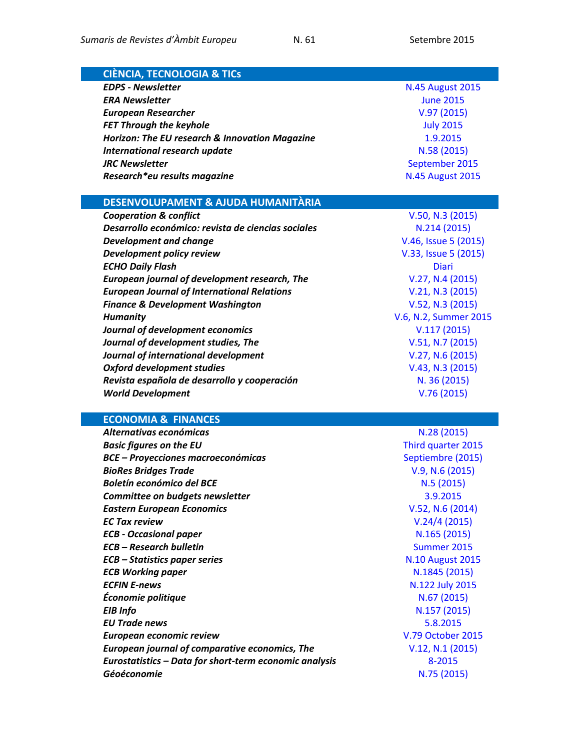| <b>CIÈNCIA, TECNOLOGIA &amp; TICS</b>                                       |                                   |
|-----------------------------------------------------------------------------|-----------------------------------|
| <b>EDPS - Newsletter</b>                                                    | <b>N.45 August 2015</b>           |
| <b>ERA Newsletter</b>                                                       | <b>June 2015</b>                  |
| <b>European Researcher</b>                                                  | V.97(2015)                        |
| <b>FET Through the keyhole</b>                                              | <b>July 2015</b>                  |
| Horizon: The EU research & Innovation Magazine                              | 1.9.2015                          |
| <b>International research update</b>                                        | N.58 (2015)                       |
| <b>JRC Newsletter</b>                                                       | September 2015                    |
| Research*eu results magazine                                                | <b>N.45 August 2015</b>           |
|                                                                             |                                   |
| DESENVOLUPAMENT & AJUDA HUMANITÀRIA                                         |                                   |
| <b>Cooperation &amp; conflict</b>                                           | V.50, N.3 (2015)                  |
| Desarrollo económico: revista de ciencias sociales                          | N.214 (2015)                      |
| <b>Development and change</b>                                               | V.46, Issue 5 (2015)              |
| Development policy review                                                   | V.33, Issue 5 (2015)              |
| <b>ECHO Daily Flash</b>                                                     | <b>Diari</b>                      |
| European journal of development research, The                               | V.27, N.4 (2015)                  |
| <b>European Journal of International Relations</b>                          | V.21, N.3 (2015)                  |
| <b>Finance &amp; Development Washington</b>                                 | V.52, N.3 (2015)                  |
| <b>Humanity</b>                                                             | V.6, N.2, Summer 2015             |
| Journal of development economics                                            | V.117(2015)                       |
| Journal of development studies, The                                         | V.51, N.7 (2015)                  |
| Journal of international development                                        | V.27, N.6 (2015)                  |
| <b>Oxford development studies</b>                                           | V.43, N.3 (2015)                  |
| Revista española de desarrollo y cooperación                                | N. 36 (2015)                      |
| <b>World Development</b>                                                    | V.76(2015)                        |
|                                                                             |                                   |
| <b>ECONOMIA &amp; FINANCES</b>                                              |                                   |
| Alternativas económicas                                                     | N.28 (2015)<br>Third quarter 2015 |
| <b>Basic figures on the EU</b><br><b>BCE - Proyecciones macroeconómicas</b> | Septiembre (2015)                 |
| <b>BioRes Bridges Trade</b>                                                 | V.9, N.6 (2015)                   |
| <b>Boletín económico del BCE</b>                                            | N.5 (2015)                        |
| Committee on budgets newsletter                                             | 3.9.2015                          |
| <b>Eastern European Economics</b>                                           | V.52, N.6 (2014)                  |
| <b>EC Tax review</b>                                                        | V.24/4(2015)                      |
| <b>ECB - Occasional paper</b>                                               | N.165 (2015)                      |
| <b>ECB - Research bulletin</b>                                              | Summer 2015                       |
| <b>ECB</b> – Statistics paper series                                        | <b>N.10 August 2015</b>           |
| <b>ECB Working paper</b>                                                    | N.1845 (2015)                     |
| <b>ECFIN E-news</b>                                                         | N.122 July 2015                   |
| Économie politique                                                          | N.67 (2015)                       |
| <b>EIB</b> Info                                                             | N.157 (2015)                      |
| <b>EU Trade news</b>                                                        | 5.8.2015                          |
| European economic review                                                    | V.79 October 2015                 |
| European journal of comparative economics, The                              | V.12, N.1 (2015)                  |
|                                                                             |                                   |

*Eurostatistics – Data for short-term economic analysis* [8-2015](http://ec.europa.eu/eurostat/en/web/products-statistical-books/-/KS-BJ-15-008) *Géoéconomie* [N.75 \(2015\)](http://www.cairn.info/revue-geoeconomie-2015-3.htm)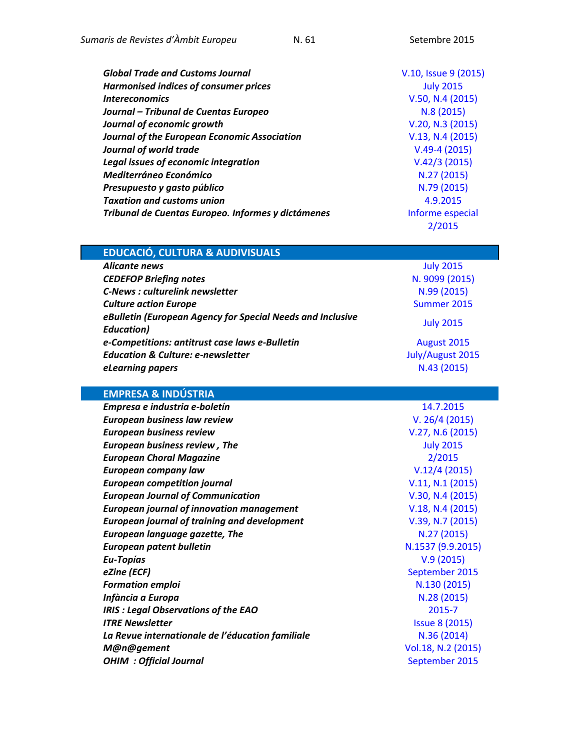| <b>Global Trade and Customs Journal</b>             | V.10, Issue 9 (2015) |
|-----------------------------------------------------|----------------------|
| Harmonised indices of consumer prices               | <b>July 2015</b>     |
| <i><u><b>Intereconomics</b></u></i>                 | V.50, N.4 (2015)     |
| Journal - Tribunal de Cuentas Europeo               | N.8(2015)            |
| Journal of economic growth                          | V.20, N.3 (2015)     |
| <b>Journal of the European Economic Association</b> | V.13, N.4 (2015)     |
| Journal of world trade                              | $V.49-4(2015)$       |
| Legal issues of economic integration                | V.42/3(2015)         |
| <b>Mediterráneo Económico</b>                       | N.27 (2015)          |
| Presupuesto y gasto público                         | N.79 (2015)          |
| <b>Taxation and customs union</b>                   | 4.9.2015             |
| Tribunal de Cuentas Europeo. Informes y dictámenes  | Informe especial     |
|                                                     | 2/2015               |

| <b>EDUCACIÓ, CULTURA &amp; AUDIVISUALS</b> |                  |
|--------------------------------------------|------------------|
| Alicante news                              | <b>July 2015</b> |

| Alitulite liews                                            | <b>CTOZ AINE</b> |
|------------------------------------------------------------|------------------|
| <b>CEDEFOP Briefing notes</b>                              | N. 9099 (2015)   |
| <b>C-News: culturelink newsletter</b>                      | N.99 (2015)      |
| <b>Culture action Europe</b>                               | Summer 2015      |
| eBulletin (European Agency for Special Needs and Inclusive | <b>July 2015</b> |
| <b>Education</b> )                                         |                  |
| e-Competitions: antitrust case laws e-Bulletin             | August 2015      |
| <b>Education &amp; Culture: e-newsletter</b>               | July/August 2015 |
| eLearning papers                                           | N.43 (2015)      |
|                                                            |                  |

# **EMPRESA & INDÚSTRIA**

| Empresa e industria e-boletín                       | 14.7.2015             |
|-----------------------------------------------------|-----------------------|
| <b>European business law review</b>                 | V. 26/4 (2015)        |
| <b>European business review</b>                     | V.27, N.6 (2015)      |
| <b>European business review, The</b>                | <b>July 2015</b>      |
| <b>European Choral Magazine</b>                     | 2/2015                |
| <b>European company law</b>                         | V.12/4(2015)          |
| <b>European competition journal</b>                 | V.11, N.1 (2015)      |
| <b>European Journal of Communication</b>            | V.30, N.4 (2015)      |
| <b>European journal of innovation management</b>    | V.18, N.4 (2015)      |
| <b>European journal of training and development</b> | V.39, N.7 (2015)      |
| <b>European language gazette, The</b>               | N.27 (2015)           |
| <b>European patent bulletin</b>                     | N.1537 (9.9.2015)     |
| Eu-Topías                                           | V.9(2015)             |
| eZine (ECF)                                         | September 2015        |
| <b>Formation emploi</b>                             | N.130 (2015)          |
| Infància a Europa                                   | N.28 (2015)           |
| <b>IRIS: Legal Observations of the EAO</b>          | 2015-7                |
| <b>ITRE Newsletter</b>                              | <b>Issue 8 (2015)</b> |
| La Revue internationale de l'éducation familiale    | N.36 (2014)           |
| M@n@gement                                          | Vol.18, N.2 (2015)    |
| <b>OHIM : Official Journal</b>                      | September 2015        |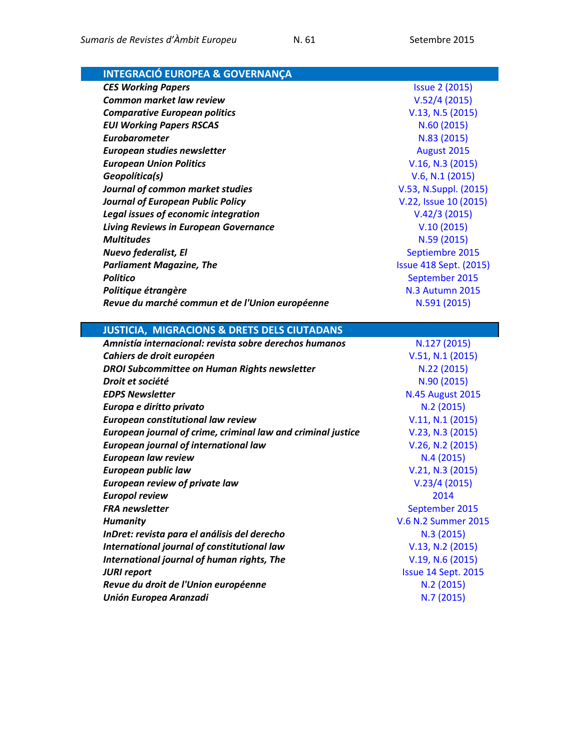| <b>INTEGRACIÓ EUROPEA &amp; GOVERNANÇA</b>                   |                               |
|--------------------------------------------------------------|-------------------------------|
| <b>CES Working Papers</b>                                    | <b>Issue 2 (2015)</b>         |
| <b>Common market law review</b>                              | V.52/4(2015)                  |
| <b>Comparative European politics</b>                         | V.13, N.5 (2015)              |
| <b>EUI Working Papers RSCAS</b>                              | N.60(2015)                    |
| <b>Eurobarometer</b>                                         | N.83 (2015)                   |
| European studies newsletter                                  | August 2015                   |
| <b>European Union Politics</b>                               | V.16, N.3 (2015)              |
| Geopolítica(s)                                               | V.6, N.1 (2015)               |
| Journal of common market studies                             | V.53, N.Suppl. (2015)         |
| <b>Journal of European Public Policy</b>                     | V.22, Issue 10 (2015)         |
| Legal issues of economic integration                         | V.42/3(2015)                  |
| <b>Living Reviews in European Governance</b>                 | V.10(2015)                    |
| <b>Multitudes</b>                                            | N.59 (2015)                   |
| Nuevo federalist, El                                         | Septiembre 2015               |
| <b>Parliament Magazine, The</b>                              | <b>Issue 418 Sept. (2015)</b> |
| <b>Politico</b>                                              | September 2015                |
| Politique étrangère                                          | <b>N.3 Autumn 2015</b>        |
| Revue du marché commun et de l'Union européenne              | N.591 (2015)                  |
|                                                              |                               |
| <b>JUSTICIA, MIGRACIONS &amp; DRETS DELS CIUTADANS</b>       |                               |
| Amnistía internacional: revista sobre derechos humanos       | N.127 (2015)                  |
| Cahiers de droit européen                                    | V.51, N.1 (2015)              |
| <b>DROI Subcommittee on Human Rights newsletter</b>          | N.22 (2015)                   |
| Droit et société                                             | N.90 (2015)                   |
| <b>EDPS Newsletter</b>                                       | <b>N.45 August 2015</b>       |
| Europa e diritto privato                                     | N.2(2015)                     |
| European constitutional law review                           | V.11, N.1 (2015)              |
| European journal of crime, criminal law and criminal justice | V.23, N.3 (2015)              |
| <b>European journal of international law</b>                 | V.26, N.2 (2015)              |
| <b>European law review</b>                                   | N.4(2015)                     |
| <b>European public law</b>                                   | V.21, N.3 (2015)              |
| <b>European review of private law</b>                        | V.23/4(2015)                  |
| <b>Europol review</b>                                        | 2014                          |
| <b>FRA</b> newsletter                                        | September 2015                |
| <b>Humanity</b>                                              | V.6 N.2 Summer 2015           |
| InDret: revista para el análisis del derecho                 | N.3(2015)                     |
| International journal of constitutional law                  | V.13, N.2 (2015)              |
|                                                              |                               |
| International journal of human rights, The                   | V.19, N.6 (2015)              |
| <b>JURI report</b>                                           | Issue 14 Sept. 2015           |
| Revue du droit de l'Union européenne                         | N.2(2015)                     |
| <b>Unión Europea Aranzadi</b>                                | N.7(2015)                     |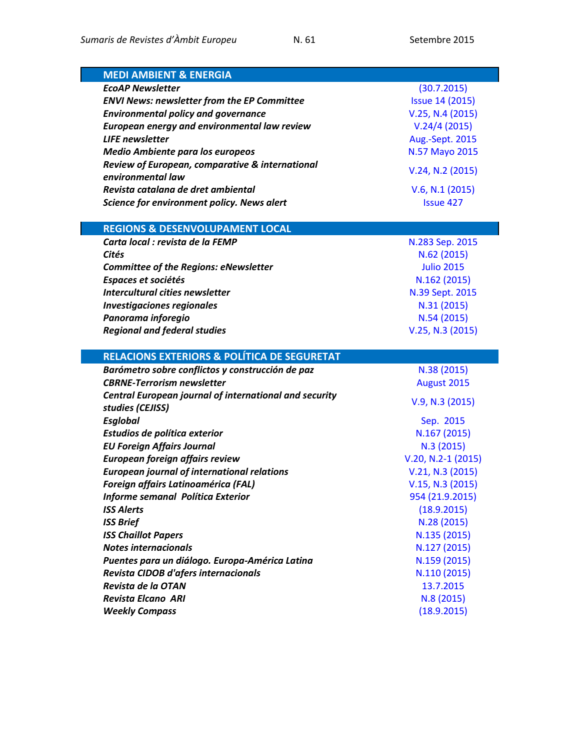| <b>MEDI AMBIENT &amp; ENERGIA</b>                             |                        |
|---------------------------------------------------------------|------------------------|
| <b>EcoAP Newsletter</b>                                       | (30.7.2015)            |
| <b>ENVI News: newsletter from the EP Committee</b>            | <b>Issue 14 (2015)</b> |
| <b>Environmental policy and governance</b>                    | V.25, N.4 (2015)       |
| European energy and environmental law review                  | V.24/4(2015)           |
| <b>LIFE</b> newsletter                                        | Aug.-Sept. 2015        |
| <b>Medio Ambiente para los europeos</b>                       | N.57 Mayo 2015         |
| Review of European, comparative & international               | V.24, N.2 (2015)       |
| environmental law<br>Revista catalana de dret ambiental       |                        |
|                                                               | V.6, N.1 (2015)        |
| Science for environment policy. News alert                    | <b>Issue 427</b>       |
| <b>REGIONS &amp; DESENVOLUPAMENT LOCAL</b>                    |                        |
| Carta local : revista de la FEMP                              | N.283 Sep. 2015        |
| Cités                                                         | N.62 (2015)            |
| <b>Committee of the Regions: eNewsletter</b>                  | <b>Julio 2015</b>      |
| Espaces et sociétés                                           | N.162 (2015)           |
| Intercultural cities newsletter                               | N.39 Sept. 2015        |
| <b>Investigaciones regionales</b>                             | N.31 (2015)            |
| Panorama inforegio                                            | N.54 (2015)            |
| <b>Regional and federal studies</b>                           | V.25, N.3 (2015)       |
|                                                               |                        |
| <b>RELACIONS EXTERIORS &amp; POLÍTICA DE SEGURETAT</b>        |                        |
| Barómetro sobre conflictos y construcción de paz              | N.38 (2015)            |
| <b>CBRNE-Terrorism newsletter</b>                             | August 2015            |
| <b>Central European journal of international and security</b> | V.9, N.3 (2015)        |
| studies (CEJISS)                                              |                        |
| <b>Esglobal</b>                                               | Sep. 2015              |
| Estudios de política exterior                                 | N.167 (2015)           |
| <b>EU Foreign Affairs Journal</b>                             |                        |
|                                                               | N.3(2015)              |
| European foreign affairs review                               | $V.20, N.2-1 (2015)$   |
| <b>European journal of international relations</b>            | V.21, N.3 (2015)       |
| <b>Foreign affairs Latinoamérica (FAL)</b>                    | V.15, N.3 (2015)       |
| Informe semanal Política Exterior                             | 954 (21.9.2015)        |
| <b>ISS Alerts</b>                                             | (18.9.2015)            |
| <b>ISS Brief</b>                                              | N.28 (2015)            |
| <b>ISS Chaillot Papers</b>                                    | N.135 (2015)           |
| <b>Notes internacionals</b>                                   | N.127 (2015)           |
| Puentes para un diálogo. Europa-América Latina                | N.159 (2015)           |
| Revista CIDOB d'afers internacionals                          | N.110 (2015)           |
| Revista de la OTAN                                            | 13.7.2015              |
| <b>Revista Elcano ARI</b><br><b>Weekly Compass</b>            | N.8(2015)              |